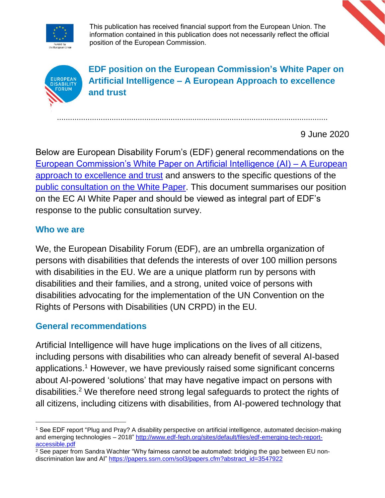

This publication has received financial support from the European Union. The information contained in this publication does not necessarily reflect the official position of the European Commission.



**EDF position on the European Commission's White Paper on Artificial Intelligence – A European Approach to excellence and trust** 

9 June 2020

Below are European Disability Forum's (EDF) general recommendations on the [European Commission's White Paper on Artificial Intelligence \(AI\) –](https://ec.europa.eu/info/publications/white-paper-artificial-intelligence-european-approach-excellence-and-trust_en) A European [approach to excellence and trust](https://ec.europa.eu/info/publications/white-paper-artificial-intelligence-european-approach-excellence-and-trust_en) and answers to the specific questions of the [public consultation on the White Paper.](https://ec.europa.eu/info/law/better-regulation/have-your-say/initiatives/12270-White-Paper-on-Artificial-Intelligence-a-European-Approach/public-consultation) This document summarises our position on the EC AI White Paper and should be viewed as integral part of EDF's response to the public consultation survey.

............................................................................................................................

### **Who we are**

We, the European Disability Forum (EDF), are an umbrella organization of persons with disabilities that defends the interests of over 100 million persons with disabilities in the EU. We are a unique platform run by persons with disabilities and their families, and a strong, united voice of persons with disabilities advocating for the implementation of the UN Convention on the Rights of Persons with Disabilities (UN CRPD) in the EU.

## **General recommendations**

Artificial Intelligence will have huge implications on the lives of all citizens, including persons with disabilities who can already benefit of several AI-based applications. <sup>1</sup> However, we have previously raised some significant concerns about AI-powered 'solutions' that may have negative impact on persons with disabilities.<sup>2</sup> We therefore need strong legal safeguards to protect the rights of all citizens, including citizens with disabilities, from AI-powered technology that

 <sup>1</sup> See EDF report "Plug and Pray? A disability perspective on artificial intelligence, automated decision-making and emerging technologies – 2018" [http://www.edf-feph.org/sites/default/files/edf-emerging-tech-report](http://www.edf-feph.org/sites/default/files/edf-emerging-tech-report-accessible.pdf)[accessible.pdf](http://www.edf-feph.org/sites/default/files/edf-emerging-tech-report-accessible.pdf)

 $2^2$  See paper from Sandra Wachter "Why fairness cannot be automated: bridging the gap between EU nondiscrimination law and AI" [https://papers.ssrn.com/sol3/papers.cfm?abstract\\_id=3547922](https://papers.ssrn.com/sol3/papers.cfm?abstract_id=3547922)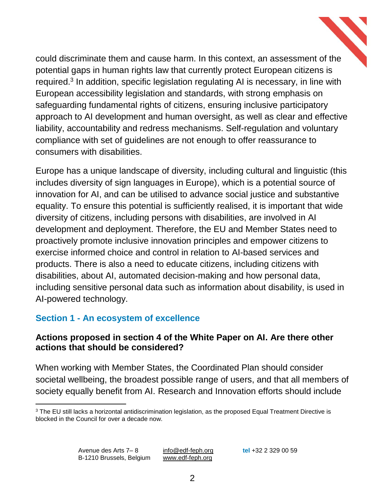could discriminate them and cause harm. In this context, an assessment of the potential gaps in human rights law that currently protect European citizens is required.<sup>3</sup> In addition, specific legislation regulating AI is necessary, in line with European accessibility legislation and standards, with strong emphasis on safeguarding fundamental rights of citizens, ensuring inclusive participatory approach to AI development and human oversight, as well as clear and effective liability, accountability and redress mechanisms. Self-regulation and voluntary compliance with set of guidelines are not enough to offer reassurance to consumers with disabilities.

Europe has a unique landscape of diversity, including cultural and linguistic (this includes diversity of sign languages in Europe), which is a potential source of innovation for AI, and can be utilised to advance social justice and substantive equality. To ensure this potential is sufficiently realised, it is important that wide diversity of citizens, including persons with disabilities, are involved in AI development and deployment. Therefore, the EU and Member States need to proactively promote inclusive innovation principles and empower citizens to exercise informed choice and control in relation to AI-based services and products. There is also a need to educate citizens, including citizens with disabilities, about AI, automated decision-making and how personal data, including sensitive personal data such as information about disability, is used in AI-powered technology.

## **Section 1 - An ecosystem of excellence**

### **Actions proposed in section 4 of the White Paper on AI. Are there other actions that should be considered?**

When working with Member States, the Coordinated Plan should consider societal wellbeing, the broadest possible range of users, and that all members of society equally benefit from AI. Research and Innovation efforts should include

<sup>&</sup>lt;sup>3</sup> The EU still lacks a horizontal antidiscrimination legislation, as the proposed Equal Treatment Directive is blocked in the Council for over a decade now.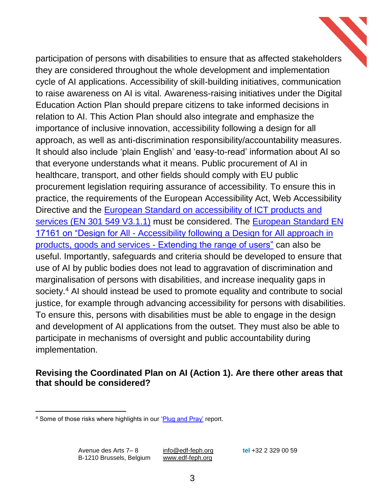participation of persons with disabilities to ensure that as affected stakeholders they are considered throughout the whole development and implementation cycle of AI applications. Accessibility of skill-building initiatives, communication to raise awareness on AI is vital. Awareness-raising initiatives under the Digital Education Action Plan should prepare citizens to take informed decisions in relation to AI. This Action Plan should also integrate and emphasize the importance of inclusive innovation, accessibility following a design for all approach, as well as anti-discrimination responsibility/accountability measures. It should also include 'plain English' and 'easy-to-read' information about AI so that everyone understands what it means. Public procurement of AI in healthcare, transport, and other fields should comply with EU public procurement legislation requiring assurance of accessibility. To ensure this in practice, the requirements of the European Accessibility Act, Web Accessibility Directive and the [European Standard on accessibility of ICT products and](https://www.etsi.org/deliver/etsi_en/301500_301599/301549/03.01.01_60/en_301549v030101p.pdf)  [services \(EN 301 549 V3.1.1\)](https://www.etsi.org/deliver/etsi_en/301500_301599/301549/03.01.01_60/en_301549v030101p.pdf) must be considered. The [European Standard EN](https://standards.cen.eu/dyn/www/f?p=204:110:0::::FSP_PROJECT,FSP_ORG_ID:62323,2301962&cs=1D28CFDC66E7CEF3CE441294CAA9FEABE)  17161 on "Design for All - [Accessibility following a Design for All approach in](https://standards.cen.eu/dyn/www/f?p=204:110:0::::FSP_PROJECT,FSP_ORG_ID:62323,2301962&cs=1D28CFDC66E7CEF3CE441294CAA9FEABE)  [products, goods and services -](https://standards.cen.eu/dyn/www/f?p=204:110:0::::FSP_PROJECT,FSP_ORG_ID:62323,2301962&cs=1D28CFDC66E7CEF3CE441294CAA9FEABE) Extending the range of users" can also be useful. Importantly, safeguards and criteria should be developed to ensure that use of AI by public bodies does not lead to aggravation of discrimination and marginalisation of persons with disabilities, and increase inequality gaps in society.<sup>4</sup> AI should instead be used to promote equality and contribute to social justice, for example through advancing accessibility for persons with disabilities. To ensure this, persons with disabilities must be able to engage in the design and development of AI applications from the outset. They must also be able to participate in mechanisms of oversight and public accountability during implementation.

### **Revising the Coordinated Plan on AI (Action 1). Are there other areas that that should be considered?**

l <sup>4</sup> Some of those risks where highlights in our ['Plug and Pray'](http://www.edf-feph.org/sites/default/files/edf-emerging-tech-report-accessible.pdf) report.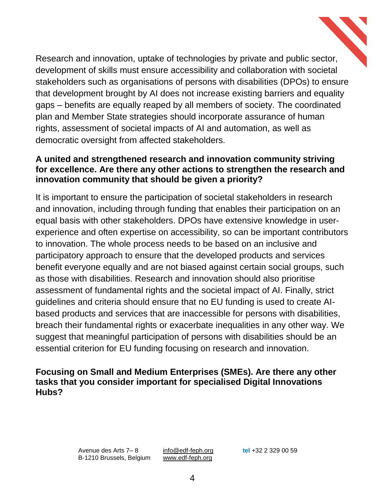Research and innovation, uptake of technologies by private and public sector, development of skills must ensure accessibility and collaboration with societal stakeholders such as organisations of persons with disabilities (DPOs) to ensure that development brought by AI does not increase existing barriers and equality gaps – benefits are equally reaped by all members of society. The coordinated plan and Member State strategies should incorporate assurance of human rights, assessment of societal impacts of AI and automation, as well as democratic oversight from affected stakeholders.

#### **A united and strengthened research and innovation community striving for excellence. Are there any other actions to strengthen the research and innovation community that should be given a priority?**

It is important to ensure the participation of societal stakeholders in research and innovation, including through funding that enables their participation on an equal basis with other stakeholders. DPOs have extensive knowledge in userexperience and often expertise on accessibility, so can be important contributors to innovation. The whole process needs to be based on an inclusive and participatory approach to ensure that the developed products and services benefit everyone equally and are not biased against certain social groups, such as those with disabilities. Research and innovation should also prioritise assessment of fundamental rights and the societal impact of AI. Finally, strict guidelines and criteria should ensure that no EU funding is used to create AIbased products and services that are inaccessible for persons with disabilities, breach their fundamental rights or exacerbate inequalities in any other way. We suggest that meaningful participation of persons with disabilities should be an essential criterion for EU funding focusing on research and innovation.

### **Focusing on Small and Medium Enterprises (SMEs). Are there any other tasks that you consider important for specialised Digital Innovations Hubs?**

Avenue des Arts 7– 8 [info@edf-feph.org](mailto:info@edf-feph.org) **tel** +32 2 329 00 59 B-1210 Brussels, Belgium [www.edf-feph.org](http://www.edf-feph.org/)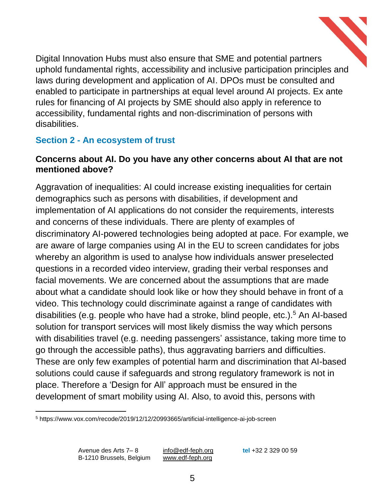

Digital Innovation Hubs must also ensure that SME and potential partners uphold fundamental rights, accessibility and inclusive participation principles and laws during development and application of AI. DPOs must be consulted and enabled to participate in partnerships at equal level around AI projects. Ex ante rules for financing of AI projects by SME should also apply in reference to accessibility, fundamental rights and non-discrimination of persons with disabilities.

# **Section 2 - An ecosystem of trust**

### **Concerns about AI. Do you have any other concerns about AI that are not mentioned above?**

Aggravation of inequalities: AI could increase existing inequalities for certain demographics such as persons with disabilities, if development and implementation of AI applications do not consider the requirements, interests and concerns of these individuals. There are plenty of examples of discriminatory AI-powered technologies being adopted at pace. For example, we are aware of large companies using AI in the EU to screen candidates for jobs whereby an algorithm is used to analyse how individuals answer preselected questions in a recorded video interview, grading their verbal responses and facial movements. We are concerned about the assumptions that are made about what a candidate should look like or how they should behave in front of a video. This technology could discriminate against a range of candidates with disabilities (e.g. people who have had a stroke, blind people, etc.).<sup>5</sup> An AI-based solution for transport services will most likely dismiss the way which persons with disabilities travel (e.g. needing passengers' assistance, taking more time to go through the accessible paths), thus aggravating barriers and difficulties. These are only few examples of potential harm and discrimination that AI-based solutions could cause if safeguards and strong regulatory framework is not in place. Therefore a 'Design for All' approach must be ensured in the development of smart mobility using AI. Also, to avoid this, persons with

l

<sup>5</sup> https://www.vox.com/recode/2019/12/12/20993665/artificial-intelligence-ai-job-screen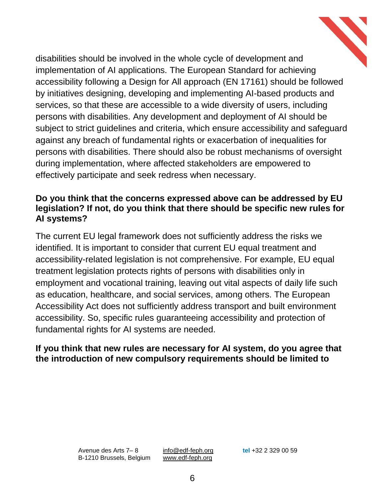

### **Do you think that the concerns expressed above can be addressed by EU legislation? If not, do you think that there should be specific new rules for AI systems?**

The current EU legal framework does not sufficiently address the risks we identified. It is important to consider that current EU equal treatment and accessibility-related legislation is not comprehensive. For example, EU equal treatment legislation protects rights of persons with disabilities only in employment and vocational training, leaving out vital aspects of daily life such as education, healthcare, and social services, among others. The European Accessibility Act does not sufficiently address transport and built environment accessibility. So, specific rules guaranteeing accessibility and protection of fundamental rights for AI systems are needed.

#### **If you think that new rules are necessary for AI system, do you agree that the introduction of new compulsory requirements should be limited to**

Avenue des Arts 7– 8 [info@edf-feph.org](mailto:info@edf-feph.org) **tel** +32 2 329 00 59 B-1210 Brussels, Belgium [www.edf-feph.org](http://www.edf-feph.org/)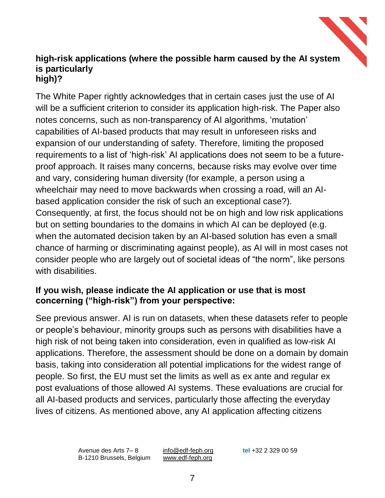#### **high-risk applications (where the possible harm caused by the AI system is particularly high)?**

The White Paper rightly acknowledges that in certain cases just the use of AI will be a sufficient criterion to consider its application high-risk. The Paper also notes concerns, such as non-transparency of AI algorithms, 'mutation' capabilities of AI-based products that may result in unforeseen risks and expansion of our understanding of safety. Therefore, limiting the proposed requirements to a list of 'high-risk' AI applications does not seem to be a futureproof approach. It raises many concerns, because risks may evolve over time and vary, considering human diversity (for example, a person using a wheelchair may need to move backwards when crossing a road, will an AIbased application consider the risk of such an exceptional case?). Consequently, at first, the focus should not be on high and low risk applications but on setting boundaries to the domains in which AI can be deployed (e.g. when the automated decision taken by an AI-based solution has even a small chance of harming or discriminating against people), as AI will in most cases not consider people who are largely out of societal ideas of "the norm", like persons with disabilities.

## **If you wish, please indicate the AI application or use that is most concerning ("high-risk") from your perspective:**

See previous answer. AI is run on datasets, when these datasets refer to people or people's behaviour, minority groups such as persons with disabilities have a high risk of not being taken into consideration, even in qualified as low-risk AI applications. Therefore, the assessment should be done on a domain by domain basis, taking into consideration all potential implications for the widest range of people. So first, the EU must set the limits as well as ex ante and regular ex post evaluations of those allowed AI systems. These evaluations are crucial for all AI-based products and services, particularly those affecting the everyday lives of citizens. As mentioned above, any AI application affecting citizens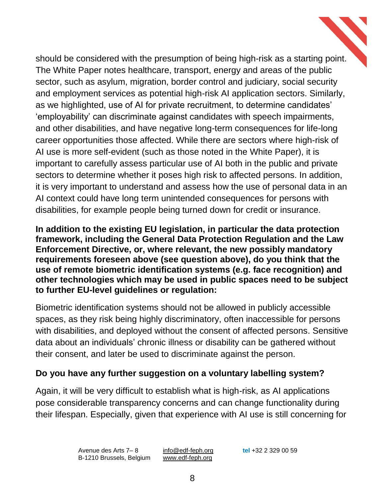should be considered with the presumption of being high-risk as a starting point. The White Paper notes healthcare, transport, energy and areas of the public sector, such as asylum, migration, border control and judiciary, social security and employment services as potential high-risk AI application sectors. Similarly, as we highlighted, use of AI for private recruitment, to determine candidates' 'employability' can discriminate against candidates with speech impairments, and other disabilities, and have negative long-term consequences for life-long career opportunities those affected. While there are sectors where high-risk of AI use is more self-evident (such as those noted in the White Paper), it is important to carefully assess particular use of AI both in the public and private sectors to determine whether it poses high risk to affected persons. In addition, it is very important to understand and assess how the use of personal data in an AI context could have long term unintended consequences for persons with disabilities, for example people being turned down for credit or insurance.

**In addition to the existing EU legislation, in particular the data protection framework, including the General Data Protection Regulation and the Law Enforcement Directive, or, where relevant, the new possibly mandatory requirements foreseen above (see question above), do you think that the use of remote biometric identification systems (e.g. face recognition) and other technologies which may be used in public spaces need to be subject to further EU-level guidelines or regulation:**

Biometric identification systems should not be allowed in publicly accessible spaces, as they risk being highly discriminatory, often inaccessible for persons with disabilities, and deployed without the consent of affected persons. Sensitive data about an individuals' chronic illness or disability can be gathered without their consent, and later be used to discriminate against the person.

## **Do you have any further suggestion on a voluntary labelling system?**

Again, it will be very difficult to establish what is high-risk, as AI applications pose considerable transparency concerns and can change functionality during their lifespan. Especially, given that experience with AI use is still concerning for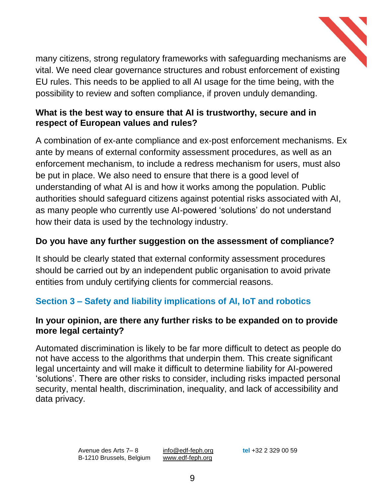

many citizens, strong regulatory frameworks with safeguarding mechanisms are vital. We need clear governance structures and robust enforcement of existing EU rules. This needs to be applied to all AI usage for the time being, with the possibility to review and soften compliance, if proven unduly demanding.

## **What is the best way to ensure that AI is trustworthy, secure and in respect of European values and rules?**

A combination of ex-ante compliance and ex-post enforcement mechanisms. Ex ante by means of external conformity assessment procedures, as well as an enforcement mechanism, to include a redress mechanism for users, must also be put in place. We also need to ensure that there is a good level of understanding of what AI is and how it works among the population. Public authorities should safeguard citizens against potential risks associated with AI, as many people who currently use AI-powered 'solutions' do not understand how their data is used by the technology industry.

# **Do you have any further suggestion on the assessment of compliance?**

It should be clearly stated that external conformity assessment procedures should be carried out by an independent public organisation to avoid private entities from unduly certifying clients for commercial reasons.

# **Section 3 – Safety and liability implications of AI, IoT and robotics**

## **In your opinion, are there any further risks to be expanded on to provide more legal certainty?**

Automated discrimination is likely to be far more difficult to detect as people do not have access to the algorithms that underpin them. This create significant legal uncertainty and will make it difficult to determine liability for AI-powered 'solutions'. There are other risks to consider, including risks impacted personal security, mental health, discrimination, inequality, and lack of accessibility and data privacy.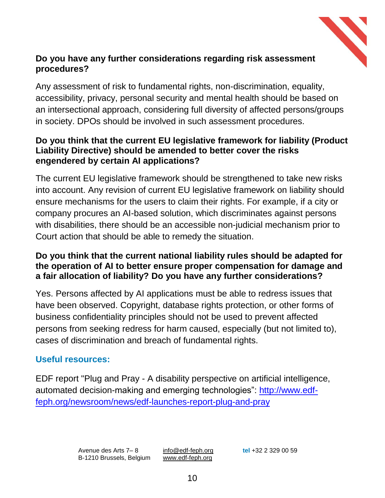

## **Do you have any further considerations regarding risk assessment procedures?**

Any assessment of risk to fundamental rights, non-discrimination, equality, accessibility, privacy, personal security and mental health should be based on an intersectional approach, considering full diversity of affected persons/groups in society. DPOs should be involved in such assessment procedures.

### **Do you think that the current EU legislative framework for liability (Product Liability Directive) should be amended to better cover the risks engendered by certain AI applications?**

The current EU legislative framework should be strengthened to take new risks into account. Any revision of current EU legislative framework on liability should ensure mechanisms for the users to claim their rights. For example, if a city or company procures an AI-based solution, which discriminates against persons with disabilities, there should be an accessible non-judicial mechanism prior to Court action that should be able to remedy the situation.

### **Do you think that the current national liability rules should be adapted for the operation of AI to better ensure proper compensation for damage and a fair allocation of liability? Do you have any further considerations?**

Yes. Persons affected by AI applications must be able to redress issues that have been observed. Copyright, database rights protection, or other forms of business confidentiality principles should not be used to prevent affected persons from seeking redress for harm caused, especially (but not limited to), cases of discrimination and breach of fundamental rights.

## **Useful resources:**

EDF report "Plug and Pray - A disability perspective on artificial intelligence, automated decision-making and emerging technologies": [http://www.edf](http://www.edf-feph.org/newsroom/news/edf-launches-report-plug-and-pray)[feph.org/newsroom/news/edf-launches-report-plug-and-pray](http://www.edf-feph.org/newsroom/news/edf-launches-report-plug-and-pray)